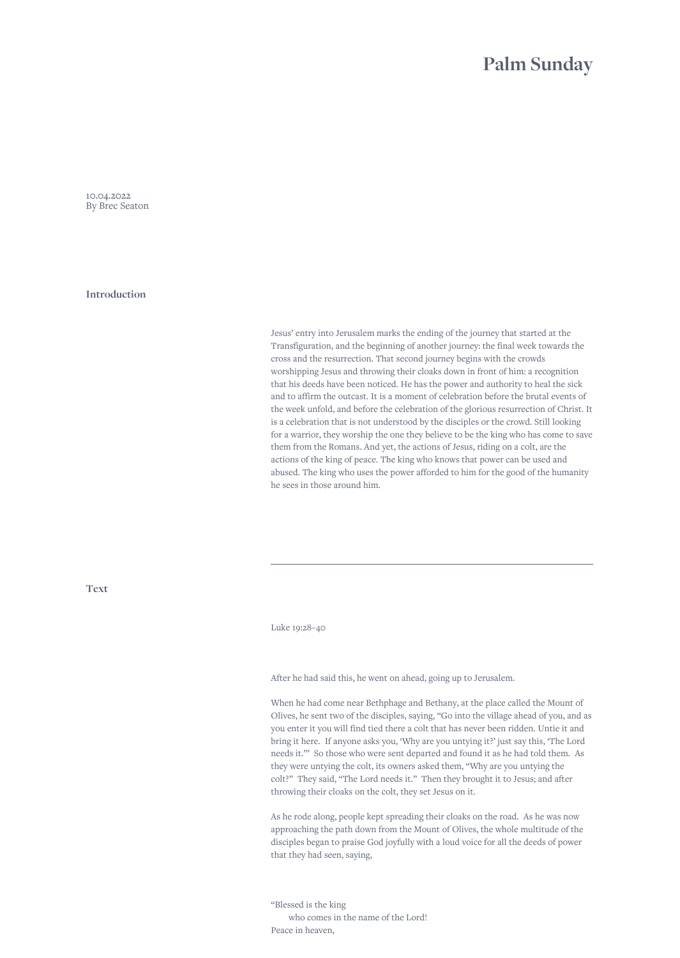## **Palm Sunday**

<span id="page-0-0"></span>10.04.2022 By Brec Seaton

**Introduction**

Jesus' entry into Jerusalem marks the ending of the journey that started at the Transfiguration, and the beginning of another journey: the final week towards the cross and the resurrection. That second journey begins with the crowds worshipping Jesus and throwing their cloaks down in front of him: a recognition that his deeds have been noticed. He has the power and authority to heal the sick and to affirm the outcast. It is a moment of celebration before the brutal events of the week unfold, and before the celebration of the glorious resurrection of Christ. It is a celebration that is not understood by the disciples or the crowd. Still looking for a warrior, they worship the one they believe to be the king who has come to save them from the Romans. And yet, the actions of Jesus, riding on a colt, are the actions of the king of peace. The king who knows that power can be used and abused. The king who uses the power afforded to him for the good of the humanity he sees in those around him.

**Text**

Luke 19:28–40

After he had said this, he went on ahead, going up to Jerusalem.

When he had come near Bethphage and Bethany, at the place called the Mount of Olives, he sent two of the disciples, saying, "Go into the village ahead of you, and as you enter it you will find tied there a colt that has never been ridden. Untie it and bring it here. If anyone asks you, 'Why are you untying it?' just say this, 'The Lord needs it.'" So those who were sent departed and found it as he had told them. As they were untying the colt, its owners asked them, "Why are you untying the colt?" They said, "The Lord needs it." Then they brought it to Jesus; and after throwing their cloaks on the colt, they set Jesus on it.

As he rode along, people kept spreading their cloaks on the road. As he was now approaching the path down from the Mount of Olives, the whole multitude of the disciples began to praise God joyfully with a loud voice for all the deeds of power that they had seen, saying,

"Blessed is the king who comes in the name of the Lord! Peace in heaven,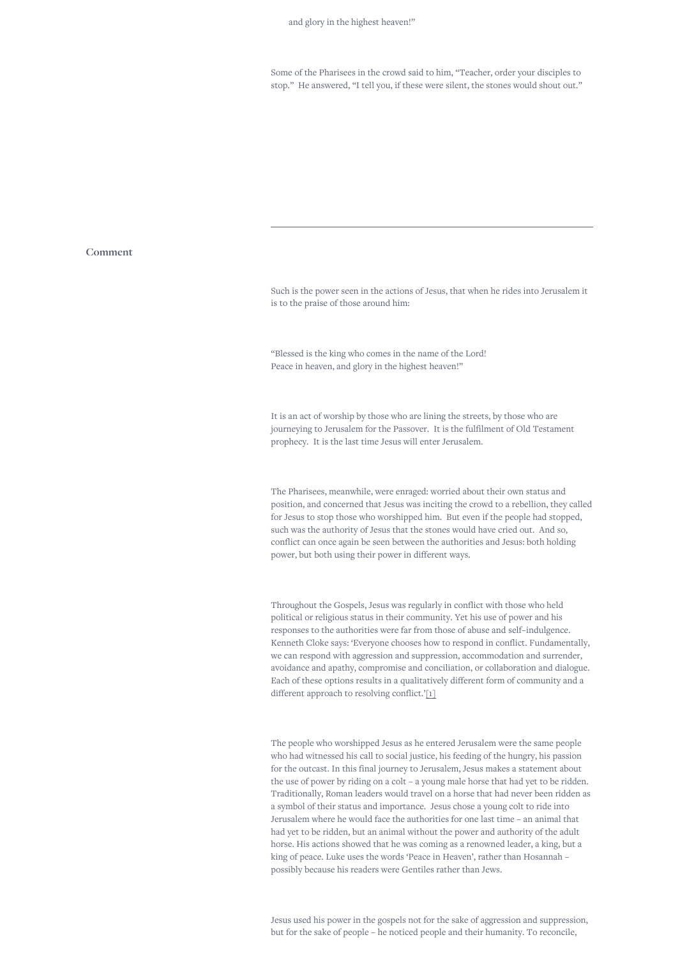Some of the Pharisees in the crowd said to him, "Teacher, order your disciples to stop." He answered, "I tell you, if these were silent, the stones would shout out."

## **Comment**

Such is the power seen in the actions of Jesus, that when he rides into Jerusalem it is to the praise of those around him:

"Blessed is the king who comes in the name of the Lord! Peace in heaven, and glory in the highest heaven!"

It is an act of worship by those who are lining the streets, by those who are journeying to Jerusalem for the Passover. It is the fulfilment of Old Testament prophecy. It is the last time Jesus will enter Jerusalem.

The Pharisees, meanwhile, were enraged: worried about their own status and position, and concerned that Jesus was inciting the crowd to a rebellion, they called for Jesus to stop those who worshipped him. But even if the people had stopped, such was the authority of Jesus that the stones would have cried out. And so, conflict can once again be seen between the authorities and Jesus: both holding power, but both using their power in different ways.

Throughout the Gospels, Jesus was regularly in conflict with those who held political or religious status in their community. Yet his use of power and his responses to the authorities were far from those of abuse and self–indulgence. Kenneth Cloke says: 'Everyone chooses how to respond in conflict. Fundamentally, we can respond with aggression and suppression, accommodation and surrender, avoidance and apathy, compromise and conciliation, or collaboration and dialogue. Each of these options results in a qualitatively different form of community and a different approach to resolving conflict.['\[1\]](#page-0-0)

The people who worshipped Jesus as he entered Jerusalem were the same people who had witnessed his call to social justice, his feeding of the hungry, his passion for the outcast. In this final journey to Jerusalem, Jesus makes a statement about the use of power by riding on a colt – a young male horse that had yet to be ridden. Traditionally, Roman leaders would travel on a horse that had never been ridden as a symbol of their status and importance. Jesus chose a young colt to ride into Jerusalem where he would face the authorities for one last time – an animal that had yet to be ridden, but an animal without the power and authority of the adult horse. His actions showed that he was coming as a renowned leader, a king, but a king of peace. Luke uses the words 'Peace in Heaven', rather than Hosannah – possibly because his readers were Gentiles rather than Jews.

Jesus used his power in the gospels not for the sake of aggression and suppression, but for the sake of people – he noticed people and their humanity. To reconcile,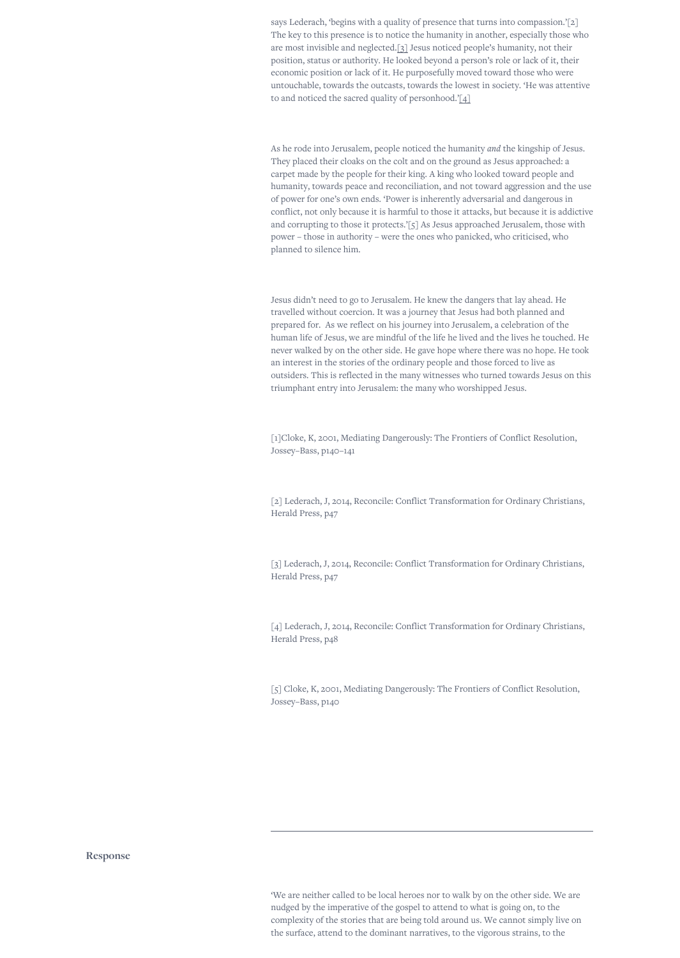says Lederach, 'begins with a quality of presence that turns into compassion.'[2] The key to this presence is to notice the humanity in another, especially those who are most invisible and neglected[.\[3\]](#page-0-0) Jesus noticed people's humanity, not their position, status or authority. He looked beyond a person's role or lack of it, their economic position or lack of it. He purposefully moved toward those who were untouchable, towards the outcasts, towards the lowest in society. 'He was attentive to and noticed the sacred quality of personhood.['\[4\]](#page-0-0)

As he rode into Jerusalem, people noticed the humanity *and* the kingship of Jesus. They placed their cloaks on the colt and on the ground as Jesus approached: a carpet made by the people for their king. A king who looked toward people and humanity, towards peace and reconciliation, and not toward aggression and the use of power for one's own ends. 'Power is inherently adversarial and dangerous in conflict, not only because it is harmful to those it attacks, but because it is addictive and corrupting to those it protects.'[5] As Jesus approached Jerusalem, those with power – those in authority – were the ones who panicked, who criticised, who planned to silence him.

Jesus didn't need to go to Jerusalem. He knew the dangers that lay ahead. He travelled without coercion. It was a journey that Jesus had both planned and prepared for. As we reflect on his journey into Jerusalem, a celebration of the human life of Jesus, we are mindful of the life he lived and the lives he touched. He never walked by on the other side. He gave hope where there was no hope. He took an interest in the stories of the ordinary people and those forced to live as outsiders. This is reflected in the many witnesses who turned towards Jesus on this triumphant entry into Jerusalem: the many who worshipped Jesus.

[1]Cloke, K, 2001, Mediating Dangerously: The Frontiers of Conflict Resolution, Jossey–Bass, p140–141

[2] Lederach, J, 2014, Reconcile: Conflict Transformation for Ordinary Christians, Herald Press, p47

[3] Lederach, J, 2014, Reconcile: Conflict Transformation for Ordinary Christians, Herald Press, p47

[4] Lederach, J, 2014, Reconcile: Conflict Transformation for Ordinary Christians, Herald Press, p48

[5] Cloke, K, 2001, Mediating Dangerously: The Frontiers of Conflict Resolution, Jossey–Bass, p140

**Response**

'We are neither called to be local heroes nor to walk by on the other side. We are nudged by the imperative of the gospel to attend to what is going on, to the complexity of the stories that are being told around us. We cannot simply live on the surface, attend to the dominant narratives, to the vigorous strains, to the